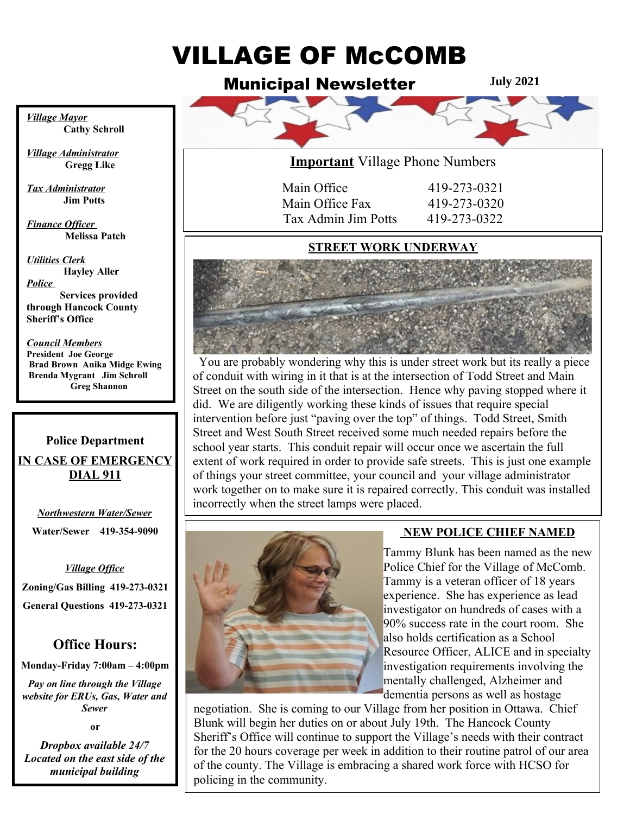# VILLAGE OF McCOMB

Municipal Newsletter

**July 2021**



*Village Mayor* **Cathy Schroll**

*Village Administrator*  **Gregg Like**

*Tax Administrator* **Jim Potts**

*Finance Officer*   **Melissa Patch**

*Utilities Clerk* **Hayley Aller** *Police* 

**Services provided through Hancock County Sheriff's Office**

  **Brad Brown Anika Midge Ewing** *Council Members* **President Joe George Brenda Mygrant Jim Schroll Greg Shannon** 

## **Police Department IN CASE OF EMERGENCY DIAL 911**

 $\overline{a}$ *Northwestern Water/Sewer* **Water/Sewer 419-354-9090**

#### *Village Office*

**Zoning/Gas Billing 419-273-0321 General Questions 419-273-0321**

## **Office Hours:**

**Monday-Friday 7:00am – 4:00pm**

*Pay on line through the Village website for ERUs, Gas, Water and Sewer*

**or**

*Dropbox available 24/7 Located on the east side of the municipal building*



| 419-273-0321 |
|--------------|
| 419-273-0320 |
| 419-273-0322 |
|              |

## **STREET WORK UNDERWAY**



 You are probably wondering why this is under street work but its really a piece of conduit with wiring in it that is at the intersection of Todd Street and Main Street on the south side of the intersection. Hence why paving stopped where it did. We are diligently working these kinds of issues that require special intervention before just "paving over the top" of things. Todd Street, Smith Street and West South Street received some much needed repairs before the school year starts. This conduit repair will occur once we ascertain the full extent of work required in order to provide safe streets. This is just one example of things your street committee, your council and your village administrator work together on to make sure it is repaired correctly. This conduit was installed incorrectly when the street lamps were placed.



## **NEW POLICE CHIEF NAMED**

Tammy Blunk has been named as the new Police Chief for the Village of McComb. Tammy is a veteran officer of 18 years experience. She has experience as lead investigator on hundreds of cases with a 90% success rate in the court room. She also holds certification as a School Resource Officer, ALICE and in specialty investigation requirements involving the mentally challenged, Alzheimer and dementia persons as well as hostage

negotiation. She is coming to our Village from her position in Ottawa. Chief Blunk will begin her duties on or about July 19th. The Hancock County Sheriff's Office will continue to support the Village's needs with their contract for the 20 hours coverage per week in addition to their routine patrol of our area of the county. The Village is embracing a shared work force with HCSO for policing in the community.